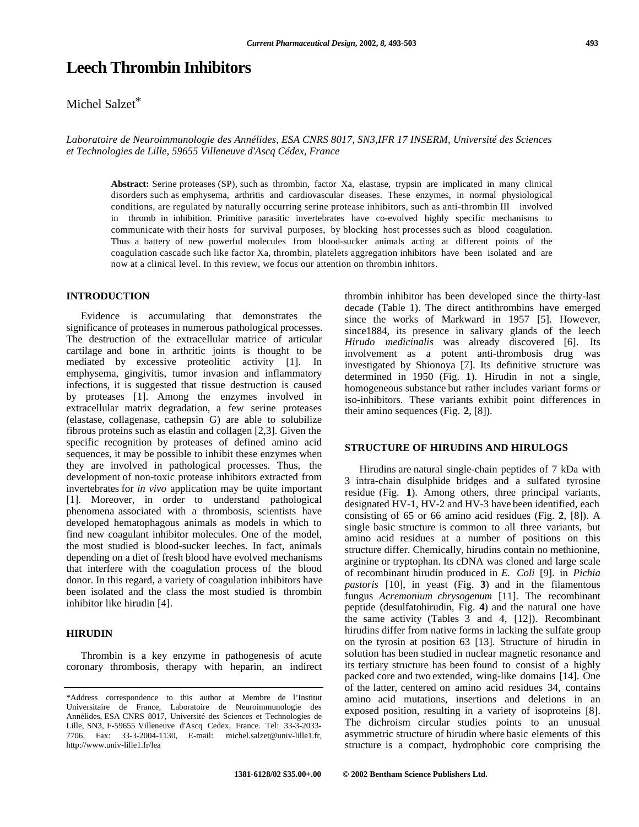# **Leech Thrombin Inhibitors**

Michel Salzet\*

*Laboratoire de Neuroimmunologie des Annélides, ESA CNRS 8017, SN3,IFR 17 INSERM, Université des Sciences et Technologies de Lille, 59655 Villeneuve d'Ascq Cédex, France*

**Abstract:** Serine proteases (SP), such as thrombin, factor Xa, elastase, trypsin are implicated in many clinical disorders such as emphysema, arthritis and cardiovascular diseases. These enzymes, in normal physiological conditions, are regulated by naturally occurring serine protease inhibitors, such as anti-thrombin III involved in thromb in inhibition. Primitive parasitic invertebrates have co-evolved highly specific mechanisms to communicate with their hosts for survival purposes, by blocking host processes such as blood coagulation. Thus a battery of new powerful molecules from blood-sucker animals acting at different points of the coagulation cascade such like factor Xa, thrombin, platelets aggregation inhibitors have been isolated and are now at a clinical level. In this review, we focus our attention on thrombin inhitors.

Evidence is accumulating that demonstrates the significance of proteases in numerous pathological processes. The destruction of the extracellular matrice of articular cartilage and bone in arthritic joints is thought to be mediated by excessive proteolitic activity [1]. In emphysema, gingivitis, tumor invasion and inflammatory infections, it is suggested that tissue destruction is caused by proteases [1]. Among the enzymes involved in extracellular matrix degradation, a few serine proteases (elastase, collagenase, cathepsin G) are able to solubilize fibrous proteins such as elastin and collagen [2,3]. Given the specific recognition by proteases of defined amino acid sequences, it may be possible to inhibit these enzymes when they are involved in pathological processes. Thus, the development of non-toxic protease inhibitors extracted from invertebrates for *in vivo* application may be quite important [1]. Moreover, in order to understand pathological phenomena associated with a thrombosis, scientists have developed hematophagous animals as models in which to find new coagulant inhibitor molecules. One of the model, the most studied is blood-sucker leeches. In fact, animals depending on a diet of fresh blood have evolved mechanisms that interfere with the coagulation process of the blood donor. In this regard, a variety of coagulation inhibitors have been isolated and the class the most studied is thrombin inhibitor like hirudin [4].

# **HIRUDIN**

Thrombin is a key enzyme in pathogenesis of acute coronary thrombosis, therapy with heparin, an indirect

**INTRODUCTION** thrombin inhibitor has been developed since the thirty-last decade (Table 1). The direct antithrombins have emerged since the works of Markward in 1957 [5]. However, since1884, its presence in salivary glands of the leech *Hirudo medicinalis* was already discovered [6]. Its involvement as a potent anti-thrombosis drug was investigated by Shionoya [7]. Its definitive structure was determined in 1950 (Fig. **1**). Hirudin in not a single, homogeneous substance but rather includes variant forms or iso-inhibitors. These variants exhibit point differences in their amino sequences (Fig. **2**, [8]).

# **STRUCTURE OF HIRUDINS AND HIRULOGS**

Hirudins are natural single-chain peptides of 7 kDa with 3 intra-chain disulphide bridges and a sulfated tyrosine residue (Fig. **1**). Among others, three principal variants, designated HV-1, HV-2 and HV-3 have been identified, each consisting of 65 or 66 amino acid residues (Fig. **2**, [8]). A single basic structure is common to all three variants, but amino acid residues at a number of positions on this structure differ. Chemically, hirudins contain no methionine, arginine or tryptophan. Its cDNA was cloned and large scale of recombinant hirudin produced in *E. Coli* [9]. in *Pichia pastoris* [10], in yeast (Fig. **3**) and in the filamentous fungus *Acremonium chrysogenum* [11]. The recombinant peptide (desulfatohirudin, Fig. **4**) and the natural one have the same activity (Tables 3 and 4, [12]). Recombinant hirudins differ from native forms in lacking the sulfate group on the tyrosin at position 63 [13]. Structure of hirudin in solution has been studied in nuclear magnetic resonance and its tertiary structure has been found to consist of a highly packed core and two extended, wing-like domains [14]. One of the latter, centered on amino acid residues 34, contains amino acid mutations, insertions and deletions in an exposed position, resulting in a variety of isoproteins [8]. The dichroism circular studies points to an unusual asymmetric structure of hirudin where basic elements of this structure is a compact, hydrophobic core comprising the

<sup>\*</sup>Address correspondence to this author at Membre de l'Institut Universitaire de France, Laboratoire de Neuroimmunologie des Annélides, ESA CNRS 8017, Université des Sciences et Technologies de Lille, SN3, F-59655 Villeneuve d'Ascq Cedex, France. Tel: 33-3-2033- 7706, Fax: 33-3-2004-1130, E-mail: michel.salzet@univ-lille1.fr, http://www.univ-lille1.fr/lea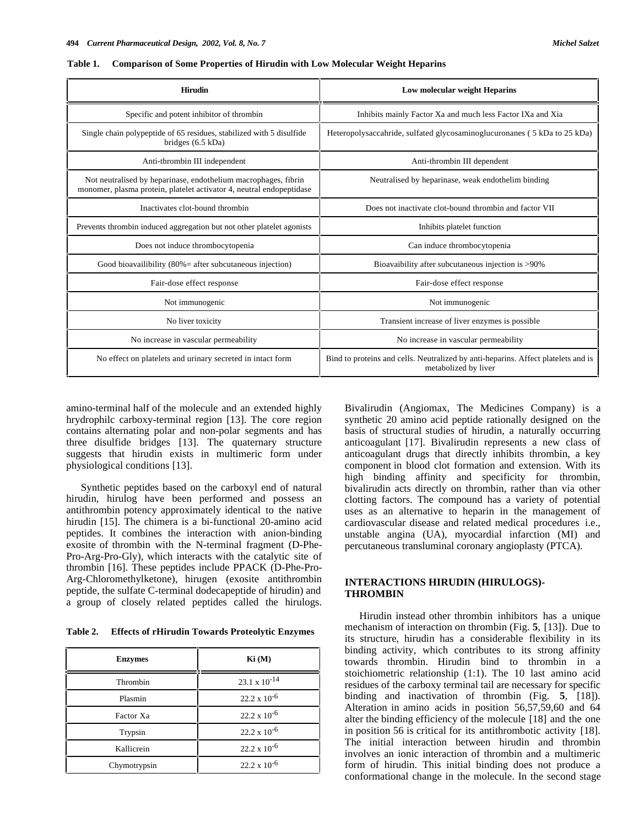**Table 1. Comparison of Some Properties of Hirudin with Low Molecular Weight Heparins**

| Hirudin                                                                                                                                | Low molecular weight Heparins                                                                             |  |
|----------------------------------------------------------------------------------------------------------------------------------------|-----------------------------------------------------------------------------------------------------------|--|
| Specific and potent inhibitor of thrombin                                                                                              | Inhibits mainly Factor Xa and much less Factor IXa and Xia                                                |  |
| Single chain polypeptide of 65 residues, stabilized with 5 disulfide<br>bridges $(6.5 \text{ kDa})$                                    | Heteropolysaccahride, sulfated glycosaminoglucuronanes (5 kDa to 25 kDa)                                  |  |
| Anti-thrombin III independent                                                                                                          | Anti-thrombin III dependent                                                                               |  |
| Not neutralised by heparinase, endothelium macrophages, fibrin<br>monomer, plasma protein, platelet activator 4, neutral endopeptidase | Neutralised by heparinase, weak endothelim binding                                                        |  |
| Inactivates clot-bound thrombin                                                                                                        | Does not inactivate clot-bound thrombin and factor VII                                                    |  |
| Prevents thrombin induced aggregation but not other platelet agonists                                                                  | Inhibits platelet function                                                                                |  |
| Does not induce thrombocytopenia                                                                                                       | Can induce thrombocytopenia                                                                               |  |
| Good bioavailibility $(80\% =$ after subcutaneous injection)                                                                           | Bioavaibility after subcutaneous injection is >90%                                                        |  |
| Fair-dose effect response                                                                                                              | Fair-dose effect response                                                                                 |  |
| Not immunogenic                                                                                                                        | Not immunogenic                                                                                           |  |
| No liver toxicity                                                                                                                      | Transient increase of liver enzymes is possible                                                           |  |
| No increase in vascular permeability                                                                                                   | No increase in vascular permeability                                                                      |  |
| No effect on platelets and urinary secreted in intact form                                                                             | Bind to proteins and cells. Neutralized by anti-heparins. Affect platelets and is<br>metabolized by liver |  |

amino-terminal half of the molecule and an extended highly hrydrophilc carboxy-terminal region [13]. The core region contains alternating polar and non-polar segments and has three disulfide bridges [13]. The quaternary structure suggests that hirudin exists in multimeric form under physiological conditions [13].

Synthetic peptides based on the carboxyl end of natural hirudin, hirulog have been performed and possess an antithrombin potency approximately identical to the native hirudin [15]. The chimera is a bi-functional 20-amino acid peptides. It combines the interaction with anion-binding exosite of thrombin with the N-terminal fragment (D-Phe-Pro-Arg-Pro-Gly), which interacts with the catalytic site of thrombin [16]. These peptides include PPACK (D-Phe-Pro-Arg-Chloromethylketone), hirugen (exosite antithrombin peptide, the sulfate C-terminal dodecapeptide of hirudin) and a group of closely related peptides called the hirulogs.

**Table 2. Effects of rHirudin Towards Proteolytic Enzymes**

| <b>Enzymes</b> | Ki(M)                  |  |
|----------------|------------------------|--|
| Thrombin       | $23.1 \times 10^{-14}$ |  |
| Plasmin        | $22.2 \times 10^{-6}$  |  |
| Factor Xa      | $22.2 \times 10^{-6}$  |  |
| Trypsin        | $22.2 \times 10^{-6}$  |  |
| Kallicrein     | $22.2 \times 10^{-6}$  |  |
| Chymotrypsin   | $22.2 \times 10^{-6}$  |  |

Bivalirudin (Angiomax, The Medicines Company) is a synthetic 20 amino acid peptide rationally designed on the basis of structural studies of hirudin, a naturally occurring anticoagulant [17]. Bivalirudin represents a new class of anticoagulant drugs that directly inhibits thrombin, a key component in blood clot formation and extension. With its high binding affinity and specificity for thrombin, bivalirudin acts directly on thrombin, rather than via other clotting factors. The compound has a variety of potential uses as an alternative to heparin in the management of cardiovascular disease and related medical procedures i.e., unstable angina (UA), myocardial infarction (MI) and percutaneous transluminal coronary angioplasty (PTCA).

# **INTERACTIONS HIRUDIN (HIRULOGS)- THROMBIN**

Hirudin instead other thrombin inhibitors has a unique mechanism of interaction on thrombin (Fig. **5**, [13]). Due to its structure, hirudin has a considerable flexibility in its binding activity, which contributes to its strong affinity towards thrombin. Hirudin bind to thrombin in a stoichiometric relationship (1:1). The 10 last amino acid residues of the carboxy terminal tail are necessary for specific binding and inactivation of thrombin (Fig. **5**, [18]). Alteration in amino acids in position 56,57,59,60 and 64 alter the binding efficiency of the molecule [18] and the one in position 56 is critical for its antithrombotic activity [18]. The initial interaction between hirudin and thrombin involves an ionic interaction of thrombin and a multimeric form of hirudin. This initial binding does not produce a conformational change in the molecule. In the second stage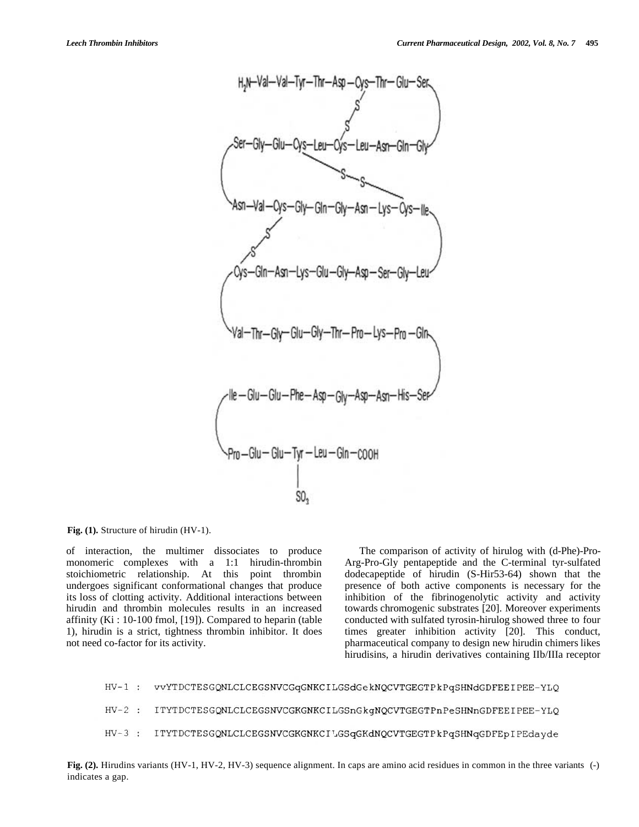Fig. (1). Structure of hirudin (HV-1).

of interaction, the multimer dissociates to produce monomeric complexes with a 1:1 hirudin-thrombin stoichiometric relationship. At this point thrombin undergoes significant conformational changes that produce its loss of clotting activity. Additional interactions between hirudin and thrombin molecules results in an increased affinity (Ki : 10-100 fmol, [19]). Compared to heparin (table 1), hirudin is a strict, tightness thrombin inhibitor. It does not need co-factor for its activity.

The comparison of activity of hirulog with (d-Phe)-Pro-Arg-Pro-Gly pentapeptide and the C-terminal tyr-sulfated dodecapeptide of hirudin (S-Hir53-64) shown that the presence of both active components is necessary for the inhibition of the fibrinogenolytic activity and activity towards chromogenic substrates [20]. Moreover experiments conducted with sulfated tyrosin-hirulog showed three to four times greater inhibition activity [20]. This conduct, pharmaceutical company to design new hirudin chimers likes hirudisins, a hirudin derivatives containing IIb/IIIa receptor

```
HV-1 : vvYTDCTESGQNLCLCEGSNVCGqGNKCILGSdGekNQCVTGEGTPkPqSHNdGDFEEIPEE-YLQ
HV-2 : ITYTDCTESGQNLCLCEGSNVCGKGNKCILGSnGkgNQCVTGEGTPnPeSHNnGDFEEIPEE-YLQ
HV-3 : ITYTDCTESGQNLCLCEGSNVCGKGNKCILGSqGKdNQCVTGEGTPkPqSHNqGDFEpIPEdayde
```
**Fig. (2).** Hirudins variants (HV-1, HV-2, HV-3) sequence alignment. In caps are amino acid residues in common in the three variants (-) indicates a gap.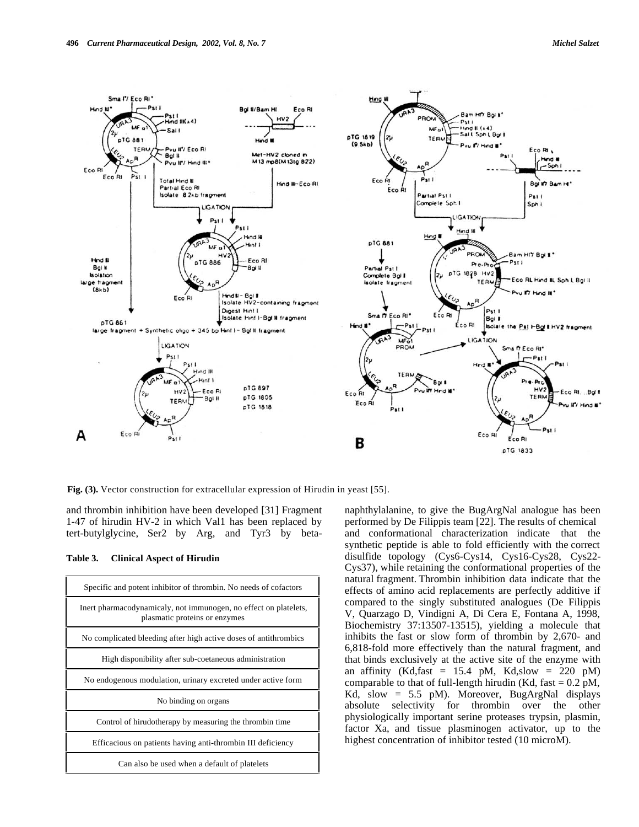

**Fig. (3).** Vector construction for extracellular expression of Hirudin in yeast [55].

and thrombin inhibition have been developed [31] Fragment 1-47 of hirudin HV-2 in which Val1 has been replaced by tert-butylglycine, Ser2 by Arg, and Tyr3 by beta-

| Table 3. |  |  | <b>Clinical Aspect of Hirudin</b> |
|----------|--|--|-----------------------------------|
|----------|--|--|-----------------------------------|

| Specific and potent inhibitor of thrombin. No needs of cofactors                                  |  |  |  |
|---------------------------------------------------------------------------------------------------|--|--|--|
| Inert pharmacodynamicaly, not immunogen, no effect on platelets,<br>plasmatic proteins or enzymes |  |  |  |
| No complicated bleeding after high active doses of antithrombics                                  |  |  |  |
| High disponibility after sub-coetaneous administration                                            |  |  |  |
| No endogenous modulation, urinary excreted under active form                                      |  |  |  |
| No binding on organs                                                                              |  |  |  |
| Control of hirudotherapy by measuring the thrombin time                                           |  |  |  |
| Efficacious on patients having anti-thrombin III deficiency                                       |  |  |  |
| Can also be used when a default of platelets                                                      |  |  |  |

naphthylalanine, to give the BugArgNal analogue has been performed by De Filippis team [22]. The results of chemical and conformational characterization indicate that the synthetic peptide is able to fold efficiently with the correct disulfide topology (Cys6-Cys14, Cys16-Cys28, Cys22- Cys37), while retaining the conformational properties of the natural fragment. Thrombin inhibition data indicate that the effects of amino acid replacements are perfectly additive if compared to the singly substituted analogues (De Filippis V, Quarzago D, Vindigni A, Di Cera E, Fontana A, 1998, Biochemistry 37:13507-13515), yielding a molecule that inhibits the fast or slow form of thrombin by 2,670- and 6,818-fold more effectively than the natural fragment, and that binds exclusively at the active site of the enzyme with an affinity (Kd,fast =  $15.4$  pM, Kd,slow =  $220$  pM) comparable to that of full-length hirudin (Kd, fast  $= 0.2$  pM, Kd, slow =  $5.5$  pM). Moreover, BugArgNal displays absolute selectivity for thrombin over the other physiologically important serine proteases trypsin, plasmin, factor Xa, and tissue plasminogen activator, up to the highest concentration of inhibitor tested (10 microM).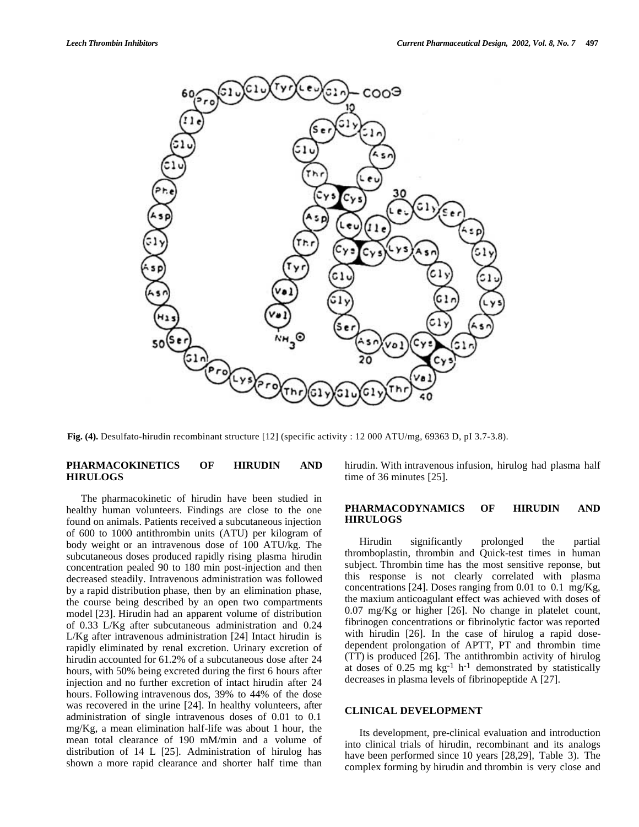

**Fig. (4).** Desulfato-hirudin recombinant structure [12] (specific activity : 12 000 ATU/mg, 69363 D, pI 3.7-3.8).

# **PHARMACOKINETICS OF HIRUDIN AND HIRULOGS**

The pharmacokinetic of hirudin have been studied in healthy human volunteers. Findings are close to the one found on animals. Patients received a subcutaneous injection of 600 to 1000 antithrombin units (ATU) per kilogram of body weight or an intravenous dose of 100 ATU/kg. The subcutaneous doses produced rapidly rising plasma hirudin concentration pealed 90 to 180 min post-injection and then decreased steadily. Intravenous administration was followed by a rapid distribution phase, then by an elimination phase, the course being described by an open two compartments model [23]. Hirudin had an apparent volume of distribution of 0.33 L/Kg after subcutaneous administration and 0.24 L/Kg after intravenous administration [24] Intact hirudin is rapidly eliminated by renal excretion. Urinary excretion of hirudin accounted for 61.2% of a subcutaneous dose after 24 hours, with 50% being excreted during the first 6 hours after injection and no further excretion of intact hirudin after 24 hours. Following intravenous dos, 39% to 44% of the dose was recovered in the urine [24]. In healthy volunteers, after administration of single intravenous doses of 0.01 to 0.1 mg/Kg, a mean elimination half-life was about 1 hour, the mean total clearance of 190 mM/min and a volume of distribution of 14 L [25]. Administration of hirulog has shown a more rapid clearance and shorter half time than

hirudin. With intravenous infusion, hirulog had plasma half time of 36 minutes [25].

### **PHARMACODYNAMICS OF HIRUDIN AND HIRULOGS**

Hirudin significantly prolonged the partial thromboplastin, thrombin and Quick-test times in human subject. Thrombin time has the most sensitive reponse, but this response is not clearly correlated with plasma concentrations [24]. Doses ranging from 0.01 to 0.1 mg/Kg, the maxium anticoagulant effect was achieved with doses of 0.07 mg/Kg or higher [26]. No change in platelet count, fibrinogen concentrations or fibrinolytic factor was reported with hirudin [26]. In the case of hirulog a rapid dosedependent prolongation of APTT, PT and thrombin time (TT) is produced [26]. The antithrombin activity of hirulog at doses of  $0.25$  mg kg<sup>-1</sup> h<sup>-1</sup> demonstrated by statistically decreases in plasma levels of fibrinopeptide A [27].

### **CLINICAL DEVELOPMENT**

Its development, pre-clinical evaluation and introduction into clinical trials of hirudin, recombinant and its analogs have been performed since 10 years [28,29], Table 3). The complex forming by hirudin and thrombin is very close and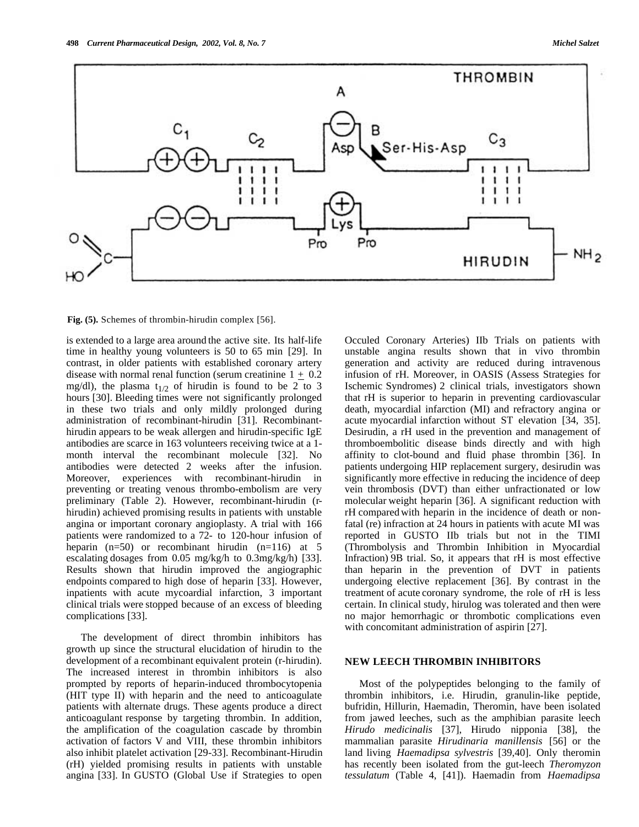

**Fig. (5).** Schemes of thrombin-hirudin complex [56].

is extended to a large area around the active site. Its half-life time in healthy young volunteers is 50 to 65 min [29]. In contrast, in older patients with established coronary artery disease with normal renal function (serum creatinine  $1 + 0.2$ mg/dl), the plasma  $t_{1/2}$  of hirudin is found to be 2 to 3 hours [30]. Bleeding times were not significantly prolonged in these two trials and only mildly prolonged during administration of recombinant-hirudin [31]. Recombinanthirudin appears to be weak allergen and hirudin-specific IgE antibodies are scarce in 163 volunteers receiving twice at a 1 month interval the recombinant molecule [32]. No antibodies were detected 2 weeks after the infusion. Moreover, experiences with recombinant-hirudin in preventing or treating venous thrombo-embolism are very preliminary (Table 2). However, recombinant-hirudin (rhirudin) achieved promising results in patients with unstable angina or important coronary angioplasty. A trial with 166 patients were randomized to a 72- to 120-hour infusion of heparin  $(n=50)$  or recombinant hirudin  $(n=116)$  at 5 escalating dosages from 0.05 mg/kg/h to 0.3mg/kg/h) [33]. Results shown that hirudin improved the angiographic endpoints compared to high dose of heparin [33]. However, inpatients with acute mycoardial infarction, 3 important clinical trials were stopped because of an excess of bleeding complications [33].

The development of direct thrombin inhibitors has growth up since the structural elucidation of hirudin to the development of a recombinant equivalent protein (r-hirudin). The increased interest in thrombin inhibitors is also prompted by reports of heparin-induced thrombocytopenia (HIT type II) with heparin and the need to anticoagulate patients with alternate drugs. These agents produce a direct anticoagulant response by targeting thrombin. In addition, the amplification of the coagulation cascade by thrombin activation of factors V and VIII, these thrombin inhibitors also inhibit platelet activation [29-33]. Recombinant-Hirudin (rH) yielded promising results in patients with unstable angina [33]. In GUSTO (Global Use if Strategies to open

Occuled Coronary Arteries) IIb Trials on patients with unstable angina results shown that in vivo thrombin generation and activity are reduced during intravenous infusion of rH. Moreover, in OASIS (Assess Strategies for Ischemic Syndromes) 2 clinical trials, investigators shown that rH is superior to heparin in preventing cardiovascular death, myocardial infarction (MI) and refractory angina or acute myocardial infarction without ST elevation [34, 35]. Desirudin, a rH used in the prevention and management of thromboembolitic disease binds directly and with high affinity to clot-bound and fluid phase thrombin [36]. In patients undergoing HIP replacement surgery, desirudin was significantly more effective in reducing the incidence of deep vein thrombosis (DVT) than either unfractionated or low molecular weight heparin [36]. A significant reduction with rH compared with heparin in the incidence of death or nonfatal (re) infraction at 24 hours in patients with acute MI was reported in GUSTO IIb trials but not in the TIMI (Thrombolysis and Thrombin Inhibition in Myocardial Infraction) 9B trial. So, it appears that rH is most effective than heparin in the prevention of DVT in patients undergoing elective replacement [36]. By contrast in the treatment of acute coronary syndrome, the role of rH is less certain. In clinical study, hirulog was tolerated and then were no major hemorrhagic or thrombotic complications even with concomitant administration of aspirin [27].

### **NEW LEECH THROMBIN INHIBITORS**

Most of the polypeptides belonging to the family of thrombin inhibitors, i.e. Hirudin, granulin-like peptide, bufridin, Hillurin, Haemadin, Theromin, have been isolated from jawed leeches, such as the amphibian parasite leech *Hirudo medicinalis* [37], Hirudo nipponia [38], the mammalian parasite *Hirudinaria manillensis* [56] or the land living *Haemadipsa sylvestris* [39,40]. Only theromin has recently been isolated from the gut-leech *Theromyzon tessulatum* (Table 4, [41]). Haemadin from *Haemadipsa*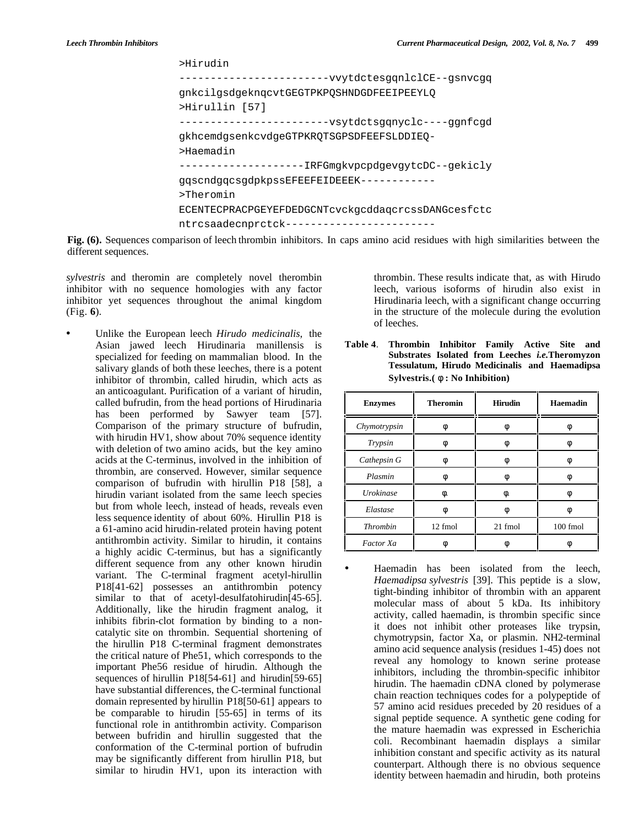>Hirudin

------------------------vvytdctesgqnlclCE--gsnvcgq gnkcilgsdgeknqcvtGEGTPKPQSHNDGDFEEIPEEYLQ >Hirullin [57] ------------------------vsytdctsgqnyclc----ggnfcgd gkhcemdgsenkcvdgeGTPKRQTSGPSDFEEFSLDDIEQ- >Haemadin --------------------IRFGmgkvpcpdgevgytcDC--gekicly gqscndgqcsgdpkpssEFEEFEIDEEEK------------ >Theromin ECENTECPRACPGEYEFDEDGCNTcvckgcddaqcrcssDANGcesfctc ntrcsaadecnprctck------------------------

**Fig. (6).** Sequences comparison of leech thrombin inhibitors. In caps amino acid residues with high similarities between the different sequences.

*sylvestris* and theromin are completely novel therombin inhibitor with no sequence homologies with any factor inhibitor yet sequences throughout the animal kingdom (Fig. **6**).

• Unlike the European leech *Hirudo medicinalis*, the Asian jawed leech Hirudinaria manillensis is specialized for feeding on mammalian blood. In the salivary glands of both these leeches, there is a potent inhibitor of thrombin, called hirudin, which acts as an anticoagulant. Purification of a variant of hirudin, called bufrudin, from the head portions of Hirudinaria has been performed by Sawyer team [57]. Comparison of the primary structure of bufrudin, with hirudin HV1, show about 70% sequence identity with deletion of two amino acids, but the key amino acids at the C-terminus, involved in the inhibition of thrombin, are conserved. However, similar sequence comparison of bufrudin with hirullin P18 [58], a hirudin variant isolated from the same leech species but from whole leech, instead of heads, reveals even less sequence identity of about 60%. Hirullin P18 is a 61-amino acid hirudin-related protein having potent antithrombin activity. Similar to hirudin, it contains a highly acidic C-terminus, but has a significantly different sequence from any other known hirudin variant. The C-terminal fragment acetyl-hirullin P18[41-62] possesses an antithrombin potency similar to that of acetyl-desulfatohirudin[45-65]. Additionally, like the hirudin fragment analog, it inhibits fibrin-clot formation by binding to a noncatalytic site on thrombin. Sequential shortening of the hirullin P18 C-terminal fragment demonstrates the critical nature of Phe51, which corresponds to the important Phe56 residue of hirudin. Although the sequences of hirullin P18[54-61] and hirudin[59-65] have substantial differences, the C-terminal functional domain represented by hirullin P18[50-61] appears to be comparable to hirudin [55-65] in terms of its functional role in antithrombin activity. Comparison between bufridin and hirullin suggested that the conformation of the C-terminal portion of bufrudin may be significantly different from hirullin P18, but similar to hirudin HV1, upon its interaction with

thrombin. These results indicate that, as with Hirudo leech, various isoforms of hirudin also exist in Hirudinaria leech, with a significant change occurring in the structure of the molecule during the evolution of leeches.

**Table 4**. **Thrombin Inhibitor Family Active Site and Substrates Isolated from Leeches** *i.e.***Theromyzon Tessulatum, Hirudo Medicinalis and Haemadipsa Sylvestris.( : No Inhibition)**

| <b>Enzymes</b>   | <b>Theromin</b> | <b>Hirudin</b> | <b>Haemadin</b> |
|------------------|-----------------|----------------|-----------------|
| Chymotrypsin     |                 |                |                 |
| Trypsin          |                 |                |                 |
| Cathepsin G      |                 |                |                 |
| Plasmin          |                 |                |                 |
| <b>Urokinase</b> |                 |                |                 |
| Elastase         |                 |                |                 |
| <b>Thrombin</b>  | 12 fmol         | 21 fmol        | 100 fmol        |
| Factor Xa        |                 |                |                 |

• Haemadin has been isolated from the leech, *Haemadipsa sylvestris* [39]. This peptide is a slow, tight-binding inhibitor of thrombin with an apparent molecular mass of about 5 kDa. Its inhibitory activity, called haemadin, is thrombin specific since it does not inhibit other proteases like trypsin, chymotrypsin, factor Xa, or plasmin. NH2-terminal amino acid sequence analysis (residues 1-45) does not reveal any homology to known serine protease inhibitors, including the thrombin-specific inhibitor hirudin. The haemadin cDNA cloned by polymerase chain reaction techniques codes for a polypeptide of 57 amino acid residues preceded by 20 residues of a signal peptide sequence. A synthetic gene coding for the mature haemadin was expressed in Escherichia coli. Recombinant haemadin displays a similar inhibition constant and specific activity as its natural counterpart. Although there is no obvious sequence identity between haemadin and hirudin, both proteins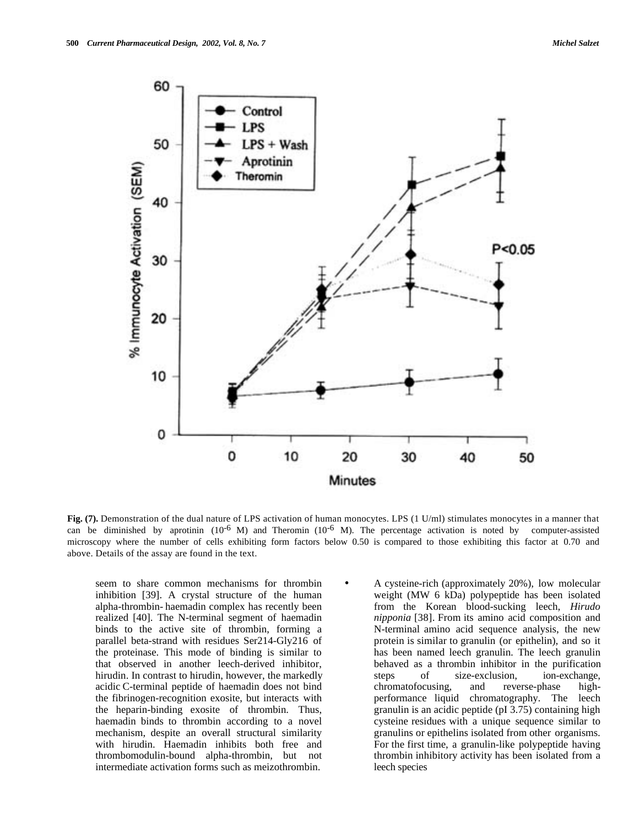

**Fig. (7).** Demonstration of the dual nature of LPS activation of human monocytes. LPS (1 U/ml) stimulates monocytes in a manner that can be diminished by aprotinin ( $10^{-6}$  M) and Theromin ( $10^{-6}$  M). The percentage activation is noted by computer-assisted microscopy where the number of cells exhibiting form factors below 0.50 is compared to those exhibiting this factor at 0.70 and above. Details of the assay are found in the text.

seem to share common mechanisms for thrombin inhibition [39]. A crystal structure of the human alpha-thrombin- haemadin complex has recently been realized [40]. The N-terminal segment of haemadin binds to the active site of thrombin, forming a parallel beta-strand with residues Ser214-Gly216 of the proteinase. This mode of binding is similar to that observed in another leech-derived inhibitor, hirudin. In contrast to hirudin, however, the markedly acidic C-terminal peptide of haemadin does not bind the fibrinogen-recognition exosite, but interacts with the heparin-binding exosite of thrombin. Thus, haemadin binds to thrombin according to a novel mechanism, despite an overall structural similarity with hirudin. Haemadin inhibits both free and thrombomodulin-bound alpha-thrombin, but not intermediate activation forms such as meizothrombin.

• A cysteine-rich (approximately 20%), low molecular weight (MW 6 kDa) polypeptide has been isolated from the Korean blood-sucking leech, *Hirudo nipponia* [38]. From its amino acid composition and N-terminal amino acid sequence analysis, the new protein is similar to granulin (or epithelin), and so it has been named leech granulin. The leech granulin behaved as a thrombin inhibitor in the purification steps of size-exclusion, ion-exchange, chromatofocusing, and reverse-phase highperformance liquid chromatography. The leech granulin is an acidic peptide (pI 3.75) containing high cysteine residues with a unique sequence similar to granulins or epithelins isolated from other organisms. For the first time, a granulin-like polypeptide having thrombin inhibitory activity has been isolated from a leech species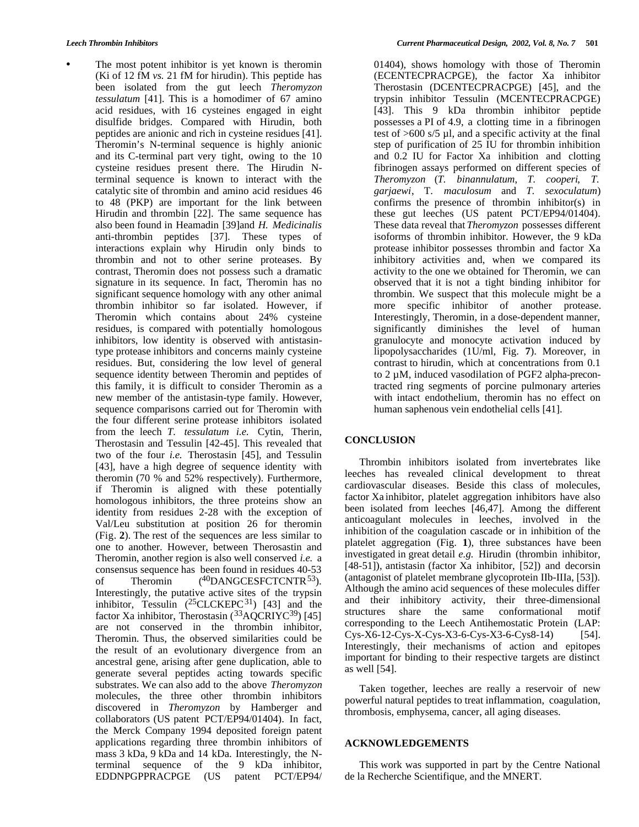The most potent inhibitor is yet known is theromin (Ki of 12 fM *vs.* 21 fM for hirudin). This peptide has been isolated from the gut leech *Theromyzon tessulatum* [41]. This is a homodimer of 67 amino acid residues, with 16 cysteines engaged in eight disulfide bridges. Compared with Hirudin, both peptides are anionic and rich in cysteine residues [41]. Theromin's N-terminal sequence is highly anionic and its C-terminal part very tight, owing to the 10 cysteine residues present there. The Hirudin Nterminal sequence is known to interact with the catalytic site of thrombin and amino acid residues 46 to 48 (PKP) are important for the link between Hirudin and thrombin [22]. The same sequence has also been found in Heamadin [39]and *H. Medicinalis* anti-thrombin peptides [37]. These types of interactions explain why Hirudin only binds to thrombin and not to other serine proteases. By contrast, Theromin does not possess such a dramatic signature in its sequence. In fact, Theromin has no significant sequence homology with any other animal thrombin inhibitor so far isolated. However, if Theromin which contains about 24% cysteine residues, is compared with potentially homologous inhibitors, low identity is observed with antistasintype protease inhibitors and concerns mainly cysteine residues. But, considering the low level of general sequence identity between Theromin and peptides of this family, it is difficult to consider Theromin as a new member of the antistasin-type family. However, sequence comparisons carried out for Theromin with the four different serine protease inhibitors isolated from the leech *T. tessulatum i.e.* Cytin, Therin, Therostasin and Tessulin [42-45]. This revealed that two of the four *i.e.* Therostasin [45], and Tessulin [43], have a high degree of sequence identity with theromin (70 % and 52% respectively). Furthermore, if Theromin is aligned with these potentially homologous inhibitors, the three proteins show an identity from residues 2-28 with the exception of Val/Leu substitution at position 26 for theromin (Fig. **2**). The rest of the sequences are less similar to one to another. However, between Therosastin and Theromin, another region is also well conserved *i.e.* a consensus sequence has been found in residues 40-53 of Theromin (  $(40$ DANGCESFCTCNTR<sup>53</sup>). Interestingly, the putative active sites of the trypsin inhibitor, Tessulin  $(^{25}CLCKEPC^{31})$  [43] and the factor Xa inhibitor, Therostasin  $(^{33}$ AQCRIYC<sup>39</sup>) [45] are not conserved in the thrombin inhibitor, Theromin. Thus, the observed similarities could be the result of an evolutionary divergence from an ancestral gene, arising after gene duplication, able to generate several peptides acting towards specific substrates. We can also add to the above *Theromyzon* molecules, the three other thrombin inhibitors discovered in *Theromyzon* by Hamberger and collaborators (US patent PCT/EP94/01404). In fact, the Merck Company 1994 deposited foreign patent applications regarding three thrombin inhibitors of mass 3 kDa, 9 kDa and 14 kDa. Interestingly, the Nterminal sequence of the 9 kDa inhibitor, EDDNPGPPRACPGE (US patent PCT/EP94/

01404), shows homology with those of Theromin (ECENTECPRACPGE), the factor Xa inhibitor Therostasin (DCENTECPRACPGE) [45], and the trypsin inhibitor Tessulin (MCENTECPRACPGE) [43]. This 9 kDa thrombin inhibitor peptide possesses a PI of 4.9, a clotting time in a fibrinogen test of  $>600$  s/5 µl, and a specific activity at the final step of purification of 25 IU for thrombin inhibition and 0.2 IU for Factor Xa inhibition and clotting fibrinogen assays performed on different species of *Theromyzon* (*T. binannulatum*, *T. cooperi*, *T. garjaewi*, T. *maculosum* and *T. sexoculatum*) confirms the presence of thrombin inhibitor(s) in these gut leeches (US patent PCT/EP94/01404). These data reveal that *Theromyzon* possesses different isoforms of thrombin inhibitor. However, the 9 kDa protease inhibitor possesses thrombin and factor Xa inhibitory activities and, when we compared its activity to the one we obtained for Theromin, we can observed that it is not a tight binding inhibitor for thrombin. We suspect that this molecule might be a more specific inhibitor of another protease. Interestingly, Theromin, in a dose-dependent manner, significantly diminishes the level of human granulocyte and monocyte activation induced by lipopolysaccharides (1U/ml, Fig. **7**). Moreover, in contrast to hirudin, which at concentrations from 0.1 to 2 µM, induced vasodilation of PGF2 alpha-precontracted ring segments of porcine pulmonary arteries with intact endothelium, theromin has no effect on human saphenous vein endothelial cells [41].

### **CONCLUSION**

Thrombin inhibitors isolated from invertebrates like leeches has revealed clinical development to threat cardiovascular diseases. Beside this class of molecules, factor Xa inhibitor, platelet aggregation inhibitors have also been isolated from leeches [46,47]. Among the different anticoagulant molecules in leeches, involved in the inhibition of the coagulation cascade or in inhibition of the platelet aggregation (Fig. **1**), three substances have been investigated in great detail *e.g.* Hirudin (thrombin inhibitor, [48-51]), antistasin (factor Xa inhibitor, [52]) and decorsin (antagonist of platelet membrane glycoprotein IIb-IIIa, [53]). Although the amino acid sequences of these molecules differ and their inhibitory activity, their three-dimensional structures share the same conformational motif corresponding to the Leech Antihemostatic Protein (LAP: Cys-X6-12-Cys-X-Cys-X3-6-Cys-X3-6-Cys8-14) [54]. Interestingly, their mechanisms of action and epitopes important for binding to their respective targets are distinct as well [54].

Taken together, leeches are really a reservoir of new powerful natural peptides to treat inflammation, coagulation, thrombosis, emphysema, cancer, all aging diseases.

# **ACKNOWLEDGEMENTS**

This work was supported in part by the Centre National de la Recherche Scientifique, and the MNERT.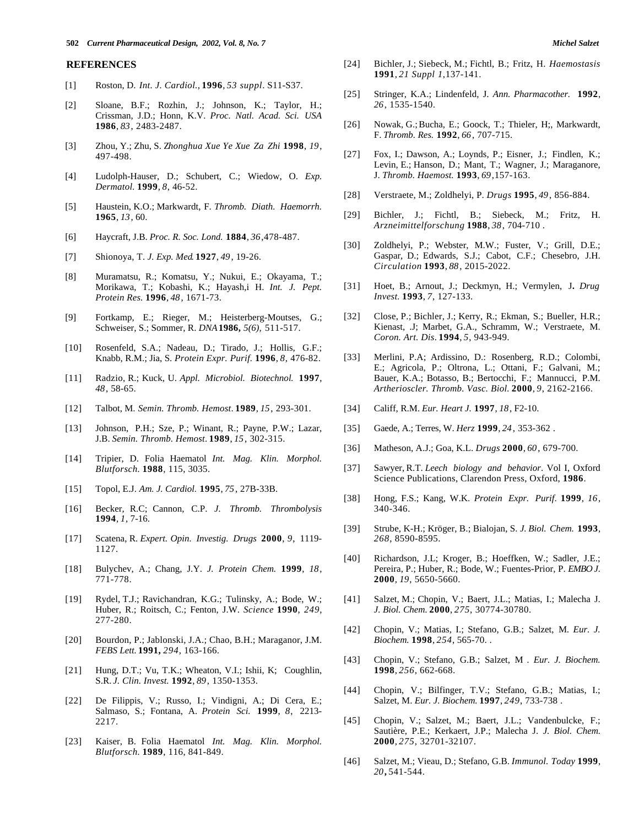- [1] Roston, D. *Int. J. Cardiol.*, **1996**, *53 suppl*. S11-S37.
- [2] Sloane, B.F.; Rozhin, J.; Johnson, K.; Taylor, H.; *26*, 1535-1540. Crissman, J.D.; Honn, K.V. *Proc. Natl. Acad. Sci. USA*
- [3] Zhou, Y.; Zhu, S. Z*honghua Xue Ye Xue Za Zhi* **1998**, *19*, 497-498. [27] Fox, I.; Dawson, A.; Loynds, P.; Eisner, J.; Findlen, K.;
- [4] Ludolph-Hauser, D.; Schubert, C.; Wiedow, O. *Exp.* J. *Thromb. Haemost.* **1993**, *69*,157-163. *Dermatol.* **1999**, *8*, 46-52.
- [5] Haustein, K.O.; Markwardt, F. *Thromb. Diath. Haemorrh.*
- [6] Haycraft, J.B. *Proc. R. Soc. Lond.* **1884**, *36*,478-487.
- [7] Shionoya, T. *J. Exp. Med*. **1927**, *49*, 19-26.
- [8] Muramatsu, R.; Komatsu, Y.; Nukui, E.; Okayama, T.; Morikawa, T.; Kobashi, K.; Hayash,i H. *Int. J. Pept. Protein Res.* **1996**, *48*, 1671-73.
- [9] Fortkamp, E.; Rieger, M.; Heisterberg-Moutses, G.; Schweiser, S.; Sommer, R. *DNA***1986,** *5(6),* 511-517.
- [10] Rosenfeld, S.A.; Nadeau, D.; Tirado, J.; Hollis, G.F.; Knabb, R.M.; Jia, S. *Protein Expr. Purif.* **1996**, *8*, 476-82. [33] Merlini, P.A; Ardissino, D.: Rosenberg, R.D.; Colombi,
- [11] Radzio, R.; Kuck, U. *Appl. Microbiol. Biotechnol.* **1997**, *48*, 58-65.
- [12] Talbot, M. *Semin. Thromb. Hemost*. **1989**, *15*, 293-301. [34] Califf, R.M. *Eur. Heart J.* **1997**, *18*, F2-10.
- [13] Johnson, P.H.; Sze, P.; Winant, R.; Payne, P.W.; Lazar, J.B. *Semin. Thromb. Hemost*. **1989**, *15*, 302-315.
- [14] Tripier, D. Folia Haematol *Int. Mag. Klin. Morphol.*
- [15] Topol, E.J. *Am. J. Cardiol.* **1995**, *75*, 27B-33B.
- [16] Becker, R.C; Cannon, C.P. *J. Thromb. Thrombolysis* 340-346. **1994**, *1*, 7-16.
- [17] Scatena, R. *Expert. Opin. Investig. Drugs* **2000**, *9*, 1119- *268*, 8590-8595. 1127.
- [18] Bulychev, A.; Chang, J.Y. *J. Protein Chem.* **1999**, *18*, 771-778.
- [19] Rydel, T.J.; Ravichandran, K.G.; Tulinsky, A.; Bode, W.; Huber, R.; Roitsch, C.; Fenton, J.W. *Science* **1990**, *249*, 277-280.
- [20] Bourdon, P.; Jablonski, J.A.; Chao, B.H.; Maraganor, J.M. *Biochem.* **1998**, *254*, 565-70. . *FEBS Lett.* **1991,** *294*, 163-166.
- [21] Hung, D.T.; Vu, T.K.; Wheaton, V.I.; Ishii, K; Coughlin, S.R. *J. Clin. Invest.* **1992**, *89*, 1350-1353.
- [22] De Filippis, V.; Russo, I.; Vindigni, A.; Di Cera, E.; Salzet, M. *Eur. J. Biochem.* **1997**, *249*, 733-738 . Salmaso, S.; Fontana, A. *Protein Sci.* **1999**, *8*, 2213- 2217. [45] Chopin, V.; Salzet, M.; Baert, J.L.; Vandenbulcke, F.;
- [23] Kaiser, B. Folia Haematol *Int. Mag. Klin. Morphol.* **2000**, *275*, 32701-32107. *Blutforsch.* **1989**, 116, 841-849.
- **REFERENCES** [24] Bichler, J.; Siebeck, M.; Fichtl, B.; Fritz, H. *Haemostasis* **1991**, *21 Suppl 1*,137-141.
	- [25] Stringer, K.A.; Lindenfeld, J. *Ann. Pharmacother.* **1992**,
	- **1986**, *83*, 2483-2487. [26] Nowak, G.; Bucha, E.; Goock, T.; Thieler, H;, Markwardt, F. *Thromb. Res.* **1992**, *66*, 707-715.
		- Levin, E.; Hanson, D.; Mant, T.; Wagner, J.; Maraganore,
		- [28] Verstraete, M.; Zoldhelyi, P. *Drugs* **1995**, *49*, 856-884.
	- **1965**, *13*, 60. [29] Bichler, J.; Fichtl, B.; Siebeck, M.; Fritz, H. *Arzneimittelforschung* **1988**, *38*, 704-710 .
		- [30] Zoldhelyi, P.; Webster, M.W.; Fuster, V.; Grill, D.E.; Gaspar, D.; Edwards, S.J.; Cabot, C.F.; Chesebro, J.H. *Circulation* **1993**, *88*, 2015-2022.
		- [31] Hoet, B.; Arnout, J.; Deckmyn, H.; Vermylen, J**.** *Drug Invest.* **1993**, *7*, 127-133.
		- [32] Close, P.; Bichler, J.; Kerry, R.; Ekman, S.; Bueller, H.R.; Kienast, .J; Marbet, G.A., Schramm, W.; Verstraete, M. *Coron. Art. Dis*. **1994**, *5*, 943-949.
		- E.; Agricola, P.; Oltrona, L.; Ottani, F.; Galvani, M.; Bauer, K.A.; Botasso, B.; Bertocchi, F.; Mannucci, P.M. *Artherioscler. Thromb. Vasc. Biol.* **2000**, *9*, 2162-2166.
		-
		- [35] Gaede, A.; Terres, W. *Herz* **1999**, *24*, 353-362 .
		- [36] Matheson, A.J.; Goa, K.L. *Drugs* **2000**, *60*, 679-700.
	- *Blutforsch.* **1988**, 115, 3035. [37] Sawyer, R.T. *Leech biology and behavior*. Vol I, Oxford Science Publications, Clarendon Press, Oxford, **1986**.
		- [38] Hong, F.S.; Kang, W.K. *Protein Expr. Purif*. **1999**, *16*,
		- [39] Strube, K-H.; Kröger, B.; Bialojan, S. *J. Biol. Chem.* **1993***,*
		- [40] Richardson, J.L; Kroger, B.; Hoeffken, W.; Sadler, J.E.; Pereira, P.; Huber, R.; Bode, W.; Fuentes-Prior, P. *EMBO J.* **2000***, 19*, 5650-5660.
		- [41] Salzet, M.; Chopin, V.; Baert, J.L.; Matias, I.; Malecha J. *J. Biol. Chem.* **2000**, *275*, 30774-30780.
		- [42] Chopin, V.; Matias, I.; Stefano, G.B.; Salzet, M*. Eur. J.*
		- [43] Chopin, V.; Stefano, G.B.; Salzet, M *. Eur. J. Biochem.*
		- [44] Chopin, V.; Bilfinger, T.V.; Stefano, G.B.; Matias, I.;
		- Sautière, P.E.; Kerkaert, J.P.; Malecha J. *J. Biol. Chem.*
		- [46] Salzet, M.; Vieau, D.; Stefano, G.B. *Immunol. Today* **1999**, *20***,** 541-544.